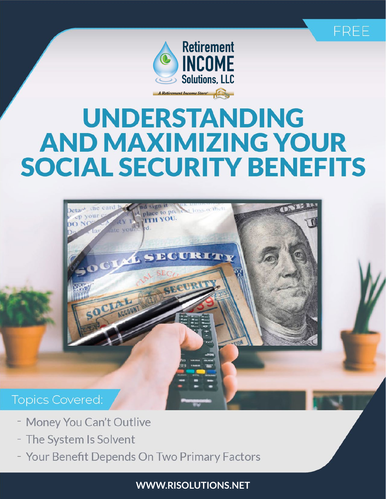



# **UNDERSTANDING AND MAXIMIZING YOUR SOCIAL SECURITY BENEFITS**



- Money You Can't Outlive
- The System Is Solvent
- Your Benefit Depends On Two Primary Factors

**WWW.RISOLUTIONS.NET**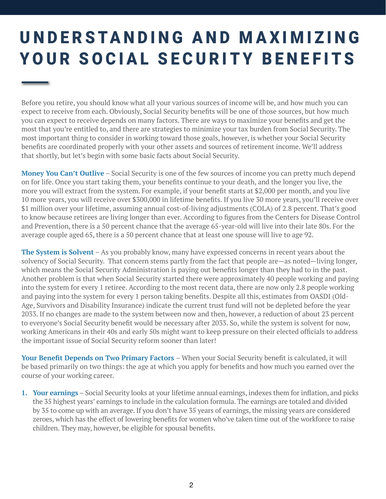# UNDERSTANDING AND MAXIMIZING YOUR SOCIAL SECURITY BENEFITS

Before you retire, you should know what all your various sources of income will be, and how much you can expect to receive from each. Obviously, Social Security benefits will be one of those sources, but how much you can expect to receive depends on many factors. There are ways to maximize your benefits and get the most that you're entitled to, and there are strategies to minimize your tax burden from Social Security. The most important thing to consider in working toward those goals, however, is whether your Social Security benefits are coordinated properly with your other assets and sources of retirement income. We'll address that shortly, but let's begin with some basic facts about Social Security.

**Money You Can't Outlive** – Social Security is one of the few sources of income you can pretty much depend on for life. Once you start taking them, your benefits continue to your death, and the longer you live, the more you will extract from the system. For example, if your benefit starts at \$2,000 per month, and you live 10 more years, you will receive over \$300,000 in lifetime benefits. If you live 30 more years, you'll receive over \$1 million over your lifetime, assuming annual cost-of-living adjustments (COLA) of 2.8 percent. That's good to know because retirees are living longer than ever. According to figures from the Centers for Disease Control and Prevention, there is a 50 percent chance that the average 65-year-old will live into their late 80s. For the average couple aged 65, there is a 50 percent chance that at least one spouse will live to age 92.

**The System is Solvent** – As you probably know, many have expressed concerns in recent years about the solvency of Social Security. That concern stems partly from the fact that people are—as noted—living longer, which means the Social Security Administration is paying out benefits longer than they had to in the past. Another problem is that when Social Security started there were approximately 40 people working and paying into the system for every 1 retiree. According to the most recent data, there are now only 2.8 people working and paying into the system for every 1 person taking benefits. Despite all this, estimates from OASDI (Old-Age, Survivors and Disability Insurance) indicate the current trust fund will not be depleted before the year 2033. If no changes are made to the system between now and then, however, a reduction of about 23 percent to everyone's Social Security benefit would be necessary after 2033. So, while the system is solvent for now, working Americans in their 40s and early 50s might want to keep pressure on their elected officials to address the important issue of Social Security reform sooner than later!

**Your Benefit Depends on Two Primary Factors** – When your Social Security benefit is calculated, it will be based primarily on two things: the age at which you apply for benefits and how much you earned over the course of your working career.

**1. Your earnings** – Social Security looks at your lifetime annual earnings, indexes them for inflation, and picks the 35 highest years' earnings to include in the calculation formula. The earnings are totaled and divided by 35 to come up with an average. If you don't have 35 years of earnings, the missing years are considered zeroes, which has the effect of lowering benefits for women who've taken time out of the workforce to raise children. They may, however, be eligible for spousal benefits.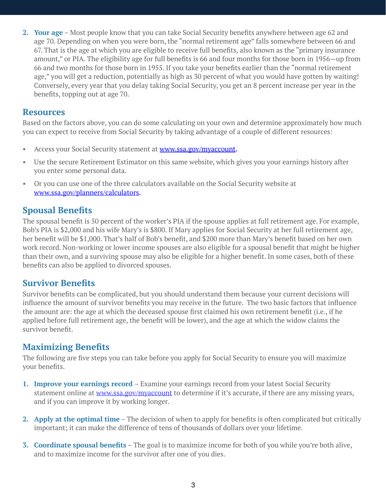**2. Your age** – Most people know that you can take Social Security benefits anywhere between age 62 and age 70. Depending on when you were born, the "normal retirement age" falls somewhere between 66 and 67. That is the age at which you are eligible to receive full benefits, also known as the "primary insurance amount," or PIA. The eligibility age for full benefits is 66 and four months for those born in 1956—up from 66 and two months for those born in 1955. If you take your benefits earlier than the "normal retirement age," you will get a reduction, potentially as high as 30 percent of what you would have gotten by waiting! Conversely, every year that you delay taking Social Security, you get an 8 percent increase per year in the benefits, topping out at age 70.

#### **Resources**

Based on the factors above, you can do some calculating on your own and determine approximately how much you can expect to receive from Social Security by taking advantage of a couple of different resources:

- Access your Social Security statement at [www.ssa.gov/mya](http://www.socialsecurity.gov/mystatement)ccount.
- Use the secure Retirement Estimator on this same website, which gives you your earnings history after you enter some personal data.
- Or you can use one of the three calculators available on the Social Security website at [www.ssa.gov/planners/calculators](http://www.ssa.gov/planners/benefitcalculators.html).

#### **Spousal Benefits**

The spousal benefit is 50 percent of the worker's PIA if the spouse applies at full retirement age. For example, Bob's PIA is \$2,000 and his wife Mary's is \$800. If Mary applies for Social Security at her full retirement age, her benefit will be \$1,000. That's half of Bob's benefit, and \$200 more than Mary's benefit based on her own work record. Non-working or lower income spouses are also eligible for a spousal benefit that might be higher than their own, and a surviving spouse may also be eligible for a higher benefit. In some cases, both of these benefits can also be applied to divorced spouses.

### **Survivor Benefits**

Survivor benefits can be complicated, but you should understand them because your current decisions will influence the amount of survivor benefits you may receive in the future. The two basic factors that influence the amount are: the age at which the deceased spouse first claimed his own retirement benefit (i.e., if he applied before full retirement age, the benefit will be lower), and the age at which the widow claims the survivor benefit.

### **Maximizing Benefits**

The following are five steps you can take before you apply for Social Security to ensure you will maximize your benefits.

- **1. Improve your earnings record**  Examine your earnings record from your latest Social Security statement online at [www.ssa.gov/my](http://www.socialsecurity.gov/mystatement)account to determine if it's accurate, if there are any missing years, and if you can improve it by working longer.
- **2. Apply at the optimal time** The decision of when to apply for benefits is often complicated but critically important; it can make the difference of tens of thousands of dollars over your lifetime.
- **3. Coordinate spousal benefits** The goal is to maximize income for both of you while you're both alive, and to maximize income for the survivor after one of you dies.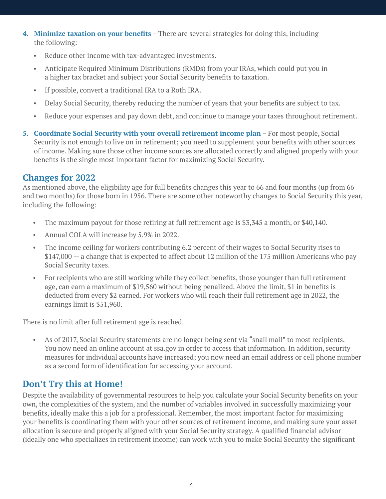- **4. Minimize taxation on your benefits** There are several strategies for doing this, including the following:
	- Reduce other income with tax-advantaged investments.
	- Anticipate Required Minimum Distributions (RMDs) from your IRAs, which could put you in a higher tax bracket and subject your Social Security benefits to taxation.
	- If possible, convert a traditional IRA to a Roth IRA.
	- Delay Social Security, thereby reducing the number of years that your benefits are subject to tax.
	- Reduce your expenses and pay down debt, and continue to manage your taxes throughout retirement.
- **5. Coordinate Social Security with your overall retirement income plan** For most people, Social Security is not enough to live on in retirement; you need to supplement your benefits with other sources of income. Making sure those other income sources are allocated correctly and aligned properly with your benefits is the single most important factor for maximizing Social Security.

#### **Changes for 2022**

As mentioned above, the eligibility age for full benefits changes this year to 66 and four months (up from 66 and two months) for those born in 1956. There are some other noteworthy changes to Social Security this year, including the following:

- The maximum payout for those retiring at full retirement age is \$3,345 a month, or \$40,140.
- Annual COLA will increase by 5.9% in 2022.
- The income ceiling for workers contributing 6.2 percent of their wages to Social Security rises to \$147,000 — a change that is expected to affect about 12 million of the 175 million Americans who pay Social Security taxes.
- For recipients who are still working while they collect benefits, those younger than full retirement age, can earn a maximum of \$19,560 without being penalized. Above the limit, \$1 in benefits is deducted from every \$2 earned. For workers who will reach their full retirement age in 2022, the earnings limit is \$51,960.

There is no limit after full retirement age is reached.

 • As of 2017, Social Security statements are no longer being sent via "snail mail" to most recipients. You now need an online account at ssa.gov in order to access that information. In addition, security measures for individual accounts have increased; you now need an email address or cell phone number as a second form of identification for accessing your account.

## **Don't Try this at Home!**

Despite the availability of governmental resources to help you calculate your Social Security benefits on your own, the complexities of the system, and the number of variables involved in successfully maximizing your benefits, ideally make this a job for a professional. Remember, the most important factor for maximizing your benefits is coordinating them with your other sources of retirement income, and making sure your asset allocation is secure and properly aligned with your Social Security strategy. A qualified financial advisor (ideally one who specializes in retirement income) can work with you to make Social Security the significant